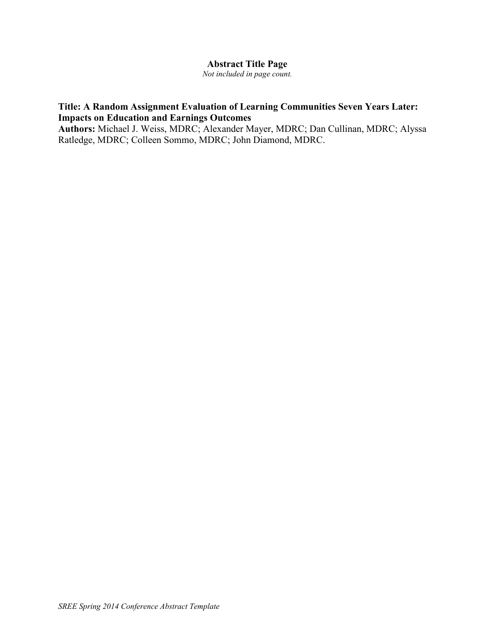### **Abstract Title Page**

*Not included in page count.*

# **Title: A Random Assignment Evaluation of Learning Communities Seven Years Later: Impacts on Education and Earnings Outcomes**

**Authors:** Michael J. Weiss, MDRC; Alexander Mayer, MDRC; Dan Cullinan, MDRC; Alyssa Ratledge, MDRC; Colleen Sommo, MDRC; John Diamond, MDRC.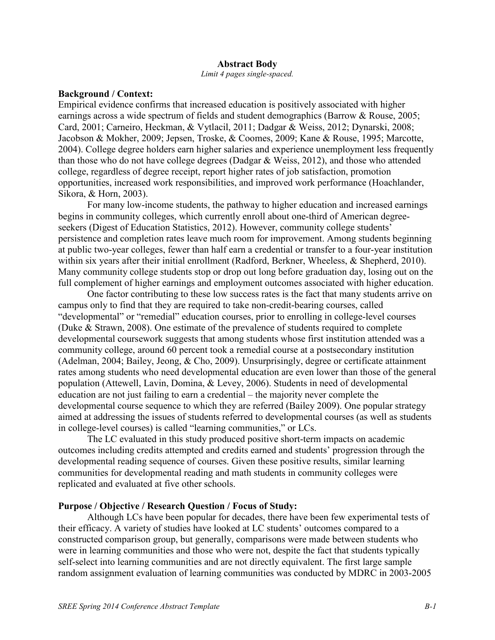#### **Abstract Body**

*Limit 4 pages single-spaced.*

### **Background / Context:**

Empirical evidence confirms that increased education is positively associated with higher earnings across a wide spectrum of fields and student demographics (Barrow & Rouse, 2005; Card, 2001; Carneiro, Heckman, & Vytlacil, 2011; Dadgar & Weiss, 2012; Dynarski, 2008; Jacobson & Mokher, 2009; Jepsen, Troske, & Coomes, 2009; Kane & Rouse, 1995; Marcotte, 2004). College degree holders earn higher salaries and experience unemployment less frequently than those who do not have college degrees (Dadgar & Weiss, 2012), and those who attended college, regardless of degree receipt, report higher rates of job satisfaction, promotion opportunities, increased work responsibilities, and improved work performance (Hoachlander, Sikora, & Horn, 2003).

For many low-income students, the pathway to higher education and increased earnings begins in community colleges, which currently enroll about one-third of American degreeseekers (Digest of Education Statistics, 2012). However, community college students' persistence and completion rates leave much room for improvement. Among students beginning at public two-year colleges, fewer than half earn a credential or transfer to a four-year institution within six years after their initial enrollment (Radford, Berkner, Wheeless, & Shepherd, 2010). Many community college students stop or drop out long before graduation day, losing out on the full complement of higher earnings and employment outcomes associated with higher education.

One factor contributing to these low success rates is the fact that many students arrive on campus only to find that they are required to take non-credit-bearing courses, called "developmental" or "remedial" education courses, prior to enrolling in college-level courses (Duke & Strawn, 2008). One estimate of the prevalence of students required to complete developmental coursework suggests that among students whose first institution attended was a community college, around 60 percent took a remedial course at a postsecondary institution (Adelman, 2004; Bailey, Jeong, & Cho, 2009). Unsurprisingly, degree or certificate attainment rates among students who need developmental education are even lower than those of the general population (Attewell, Lavin, Domina, & Levey, 2006). Students in need of developmental education are not just failing to earn a credential – the majority never complete the developmental course sequence to which they are referred (Bailey 2009). One popular strategy aimed at addressing the issues of students referred to developmental courses (as well as students in college-level courses) is called "learning communities," or LCs.

The LC evaluated in this study produced positive short-term impacts on academic outcomes including credits attempted and credits earned and students' progression through the developmental reading sequence of courses. Given these positive results, similar learning communities for developmental reading and math students in community colleges were replicated and evaluated at five other schools.

#### **Purpose / Objective / Research Question / Focus of Study:**

Although LCs have been popular for decades, there have been few experimental tests of their efficacy. A variety of studies have looked at LC students' outcomes compared to a constructed comparison group, but generally, comparisons were made between students who were in learning communities and those who were not, despite the fact that students typically self-select into learning communities and are not directly equivalent. The first large sample random assignment evaluation of learning communities was conducted by MDRC in 2003-2005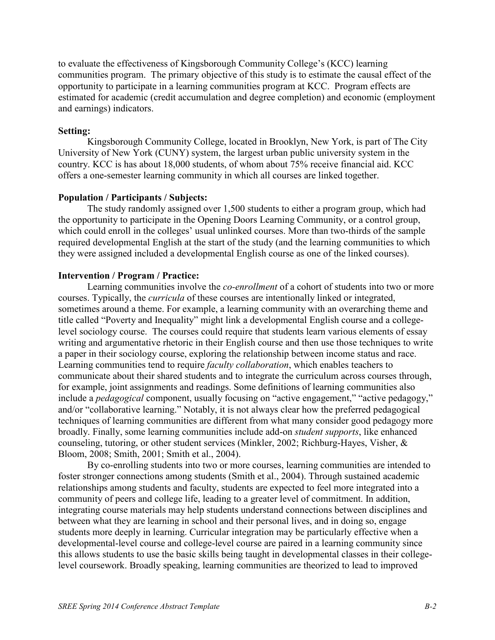to evaluate the effectiveness of Kingsborough Community College's (KCC) learning communities program. The primary objective of this study is to estimate the causal effect of the opportunity to participate in a learning communities program at KCC. Program effects are estimated for academic (credit accumulation and degree completion) and economic (employment and earnings) indicators.

### **Setting:**

Kingsborough Community College, located in Brooklyn, New York, is part of The City University of New York (CUNY) system, the largest urban public university system in the country. KCC is has about 18,000 students, of whom about 75% receive financial aid. KCC offers a one-semester learning community in which all courses are linked together.

### **Population / Participants / Subjects:**

The study randomly assigned over 1,500 students to either a program group, which had the opportunity to participate in the Opening Doors Learning Community, or a control group, which could enroll in the colleges' usual unlinked courses. More than two-thirds of the sample required developmental English at the start of the study (and the learning communities to which they were assigned included a developmental English course as one of the linked courses).

### **Intervention / Program / Practice:**

Learning communities involve the *co-enrollment* of a cohort of students into two or more courses. Typically, the *curricula* of these courses are intentionally linked or integrated, sometimes around a theme. For example, a learning community with an overarching theme and title called "Poverty and Inequality" might link a developmental English course and a collegelevel sociology course. The courses could require that students learn various elements of essay writing and argumentative rhetoric in their English course and then use those techniques to write a paper in their sociology course, exploring the relationship between income status and race. Learning communities tend to require *faculty collaboration*, which enables teachers to communicate about their shared students and to integrate the curriculum across courses through, for example, joint assignments and readings. Some definitions of learning communities also include a *pedagogical* component, usually focusing on "active engagement," "active pedagogy," and/or "collaborative learning." Notably, it is not always clear how the preferred pedagogical techniques of learning communities are different from what many consider good pedagogy more broadly. Finally, some learning communities include add-on *student supports*, like enhanced counseling, tutoring, or other student services (Minkler, 2002; Richburg-Hayes, Visher, & Bloom, 2008; Smith, 2001; Smith et al., 2004).

By co-enrolling students into two or more courses, learning communities are intended to foster stronger connections among students (Smith et al., 2004). Through sustained academic relationships among students and faculty, students are expected to feel more integrated into a community of peers and college life, leading to a greater level of commitment. In addition, integrating course materials may help students understand connections between disciplines and between what they are learning in school and their personal lives, and in doing so, engage students more deeply in learning. Curricular integration may be particularly effective when a developmental-level course and college-level course are paired in a learning community since this allows students to use the basic skills being taught in developmental classes in their collegelevel coursework. Broadly speaking, learning communities are theorized to lead to improved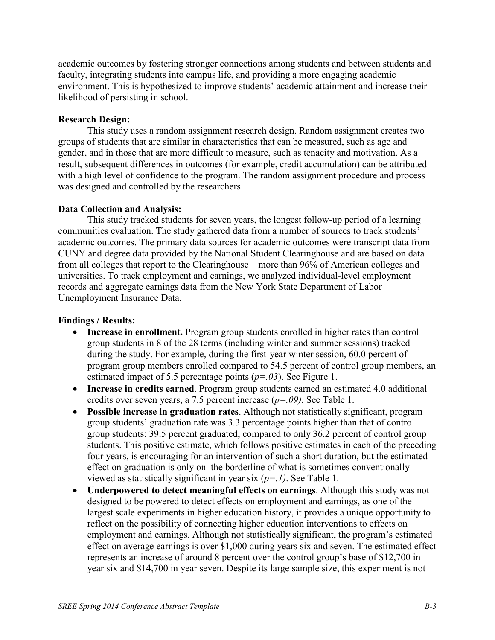academic outcomes by fostering stronger connections among students and between students and faculty, integrating students into campus life, and providing a more engaging academic environment. This is hypothesized to improve students' academic attainment and increase their likelihood of persisting in school.

## **Research Design:**

This study uses a random assignment research design. Random assignment creates two groups of students that are similar in characteristics that can be measured, such as age and gender, and in those that are more difficult to measure, such as tenacity and motivation. As a result, subsequent differences in outcomes (for example, credit accumulation) can be attributed with a high level of confidence to the program. The random assignment procedure and process was designed and controlled by the researchers.

### **Data Collection and Analysis:**

This study tracked students for seven years, the longest follow-up period of a learning communities evaluation. The study gathered data from a number of sources to track students' academic outcomes. The primary data sources for academic outcomes were transcript data from CUNY and degree data provided by the National Student Clearinghouse and are based on data from all colleges that report to the Clearinghouse – more than 96% of American colleges and universities. To track employment and earnings, we analyzed individual-level employment records and aggregate earnings data from the New York State Department of Labor Unemployment Insurance Data.

### **Findings / Results:**

- **Increase in enrollment.** Program group students enrolled in higher rates than control group students in 8 of the 28 terms (including winter and summer sessions) tracked during the study. For example, during the first-year winter session, 60.0 percent of program group members enrolled compared to 54.5 percent of control group members, an estimated impact of 5.5 percentage points (*p=.03*). See Figure 1.
- **Increase in credits earned**. Program group students earned an estimated 4.0 additional credits over seven years, a 7.5 percent increase (*p=.09)*. See Table 1.
- x **Possible increase in graduation rates**. Although not statistically significant, program group students' graduation rate was 3.3 percentage points higher than that of control group students: 39.5 percent graduated, compared to only 36.2 percent of control group students. This positive estimate, which follows positive estimates in each of the preceding four years, is encouraging for an intervention of such a short duration, but the estimated effect on graduation is only on the borderline of what is sometimes conventionally viewed as statistically significant in year six (*p=.1)*. See Table 1.
- **Underpowered to detect meaningful effects on earnings**. Although this study was not designed to be powered to detect effects on employment and earnings, as one of the largest scale experiments in higher education history, it provides a unique opportunity to reflect on the possibility of connecting higher education interventions to effects on employment and earnings. Although not statistically significant, the program's estimated effect on average earnings is over \$1,000 during years six and seven. The estimated effect represents an increase of around 8 percent over the control group's base of \$12,700 in year six and \$14,700 in year seven. Despite its large sample size, this experiment is not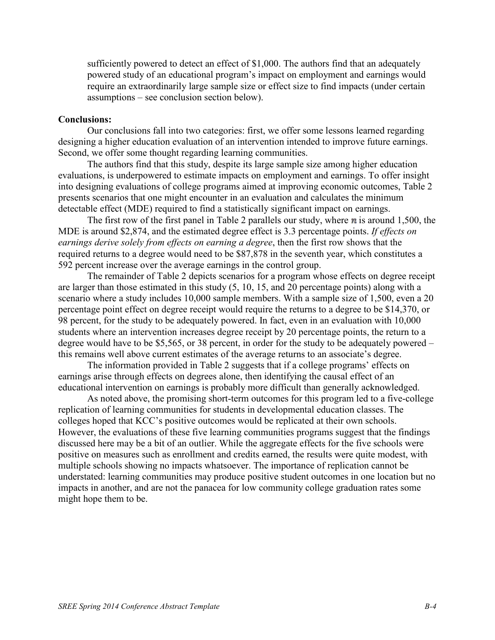sufficiently powered to detect an effect of \$1,000. The authors find that an adequately powered study of an educational program's impact on employment and earnings would require an extraordinarily large sample size or effect size to find impacts (under certain assumptions – see conclusion section below).

### **Conclusions:**

Our conclusions fall into two categories: first, we offer some lessons learned regarding designing a higher education evaluation of an intervention intended to improve future earnings. Second, we offer some thought regarding learning communities.

The authors find that this study, despite its large sample size among higher education evaluations, is underpowered to estimate impacts on employment and earnings. To offer insight into designing evaluations of college programs aimed at improving economic outcomes, Table 2 presents scenarios that one might encounter in an evaluation and calculates the minimum detectable effect (MDE) required to find a statistically significant impact on earnings.

The first row of the first panel in Table 2 parallels our study, where  $\bf{n}$  is around 1,500, the MDE is around \$2,874, and the estimated degree effect is 3.3 percentage points. *If effects on earnings derive solely from effects on earning a degree*, then the first row shows that the required returns to a degree would need to be \$87,878 in the seventh year, which constitutes a 592 percent increase over the average earnings in the control group.

The remainder of Table 2 depicts scenarios for a program whose effects on degree receipt are larger than those estimated in this study (5, 10, 15, and 20 percentage points) along with a scenario where a study includes 10,000 sample members. With a sample size of 1,500, even a 20 percentage point effect on degree receipt would require the returns to a degree to be \$14,370, or 98 percent, for the study to be adequately powered. In fact, even in an evaluation with 10,000 students where an intervention increases degree receipt by 20 percentage points, the return to a degree would have to be \$5,565, or 38 percent, in order for the study to be adequately powered – this remains well above current estimates of the average returns to an associate's degree.

The information provided in Table 2 suggests that if a college programs' effects on earnings arise through effects on degrees alone, then identifying the causal effect of an educational intervention on earnings is probably more difficult than generally acknowledged.

As noted above, the promising short-term outcomes for this program led to a five-college replication of learning communities for students in developmental education classes. The colleges hoped that KCC's positive outcomes would be replicated at their own schools. However, the evaluations of these five learning communities programs suggest that the findings discussed here may be a bit of an outlier. While the aggregate effects for the five schools were positive on measures such as enrollment and credits earned, the results were quite modest, with multiple schools showing no impacts whatsoever. The importance of replication cannot be understated: learning communities may produce positive student outcomes in one location but no impacts in another, and are not the panacea for low community college graduation rates some might hope them to be.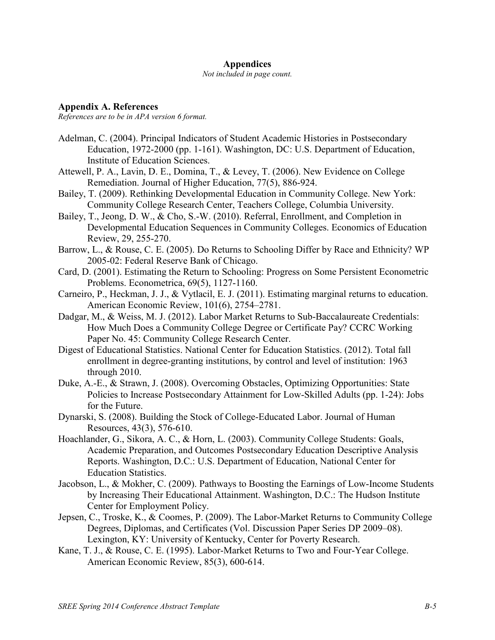#### **Appendices**

*Not included in page count.*

**Appendix A. References**

*References are to be in APA version 6 format.*

- Adelman, C. (2004). Principal Indicators of Student Academic Histories in Postsecondary Education, 1972-2000 (pp. 1-161). Washington, DC: U.S. Department of Education, Institute of Education Sciences.
- Attewell, P. A., Lavin, D. E., Domina, T., & Levey, T. (2006). New Evidence on College Remediation. Journal of Higher Education, 77(5), 886-924.
- Bailey, T. (2009). Rethinking Developmental Education in Community College. New York: Community College Research Center, Teachers College, Columbia University.
- Bailey, T., Jeong, D. W., & Cho, S.-W. (2010). Referral, Enrollment, and Completion in Developmental Education Sequences in Community Colleges. Economics of Education Review, 29, 255-270.
- Barrow, L., & Rouse, C. E. (2005). Do Returns to Schooling Differ by Race and Ethnicity? WP 2005-02: Federal Reserve Bank of Chicago.
- Card, D. (2001). Estimating the Return to Schooling: Progress on Some Persistent Econometric Problems. Econometrica, 69(5), 1127-1160.
- Carneiro, P., Heckman, J. J., & Vytlacil, E. J. (2011). Estimating marginal returns to education. American Economic Review, 101(6), 2754–2781.
- Dadgar, M., & Weiss, M. J. (2012). Labor Market Returns to Sub-Baccalaureate Credentials: How Much Does a Community College Degree or Certificate Pay? CCRC Working Paper No. 45: Community College Research Center.
- Digest of Educational Statistics. National Center for Education Statistics. (2012). Total fall enrollment in degree-granting institutions, by control and level of institution: 1963 through 2010.
- Duke, A.-E., & Strawn, J. (2008). Overcoming Obstacles, Optimizing Opportunities: State Policies to Increase Postsecondary Attainment for Low-Skilled Adults (pp. 1-24): Jobs for the Future.
- Dynarski, S. (2008). Building the Stock of College-Educated Labor. Journal of Human Resources, 43(3), 576-610.
- Hoachlander, G., Sikora, A. C., & Horn, L. (2003). Community College Students: Goals, Academic Preparation, and Outcomes Postsecondary Education Descriptive Analysis Reports. Washington, D.C.: U.S. Department of Education, National Center for Education Statistics.
- Jacobson, L., & Mokher, C. (2009). Pathways to Boosting the Earnings of Low-Income Students by Increasing Their Educational Attainment. Washington, D.C.: The Hudson Institute Center for Employment Policy.
- Jepsen, C., Troske, K., & Coomes, P. (2009). The Labor-Market Returns to Community College Degrees, Diplomas, and Certificates (Vol. Discussion Paper Series DP 2009–08). Lexington, KY: University of Kentucky, Center for Poverty Research.
- Kane, T. J., & Rouse, C. E. (1995). Labor-Market Returns to Two and Four-Year College. American Economic Review, 85(3), 600-614.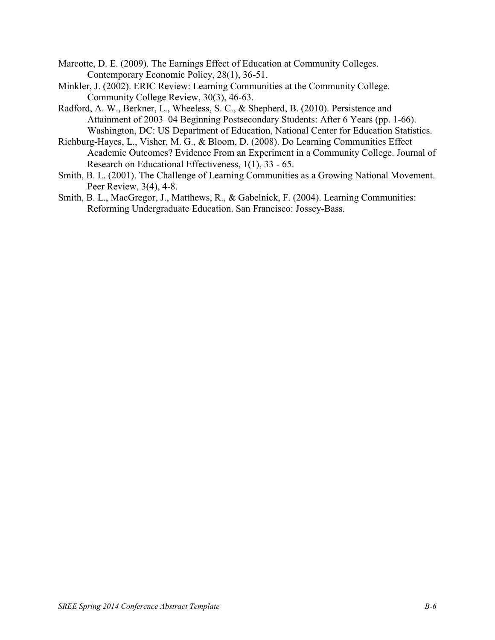- Marcotte, D. E. (2009). The Earnings Effect of Education at Community Colleges. Contemporary Economic Policy, 28(1), 36-51.
- Minkler, J. (2002). ERIC Review: Learning Communities at the Community College. Community College Review, 30(3), 46-63.
- Radford, A. W., Berkner, L., Wheeless, S. C., & Shepherd, B. (2010). Persistence and Attainment of 2003–04 Beginning Postsecondary Students: After 6 Years (pp. 1-66). Washington, DC: US Department of Education, National Center for Education Statistics.
- Richburg-Hayes, L., Visher, M. G., & Bloom, D. (2008). Do Learning Communities Effect Academic Outcomes? Evidence From an Experiment in a Community College. Journal of Research on Educational Effectiveness, 1(1), 33 - 65.
- Smith, B. L. (2001). The Challenge of Learning Communities as a Growing National Movement. Peer Review, 3(4), 4-8.
- Smith, B. L., MacGregor, J., Matthews, R., & Gabelnick, F. (2004). Learning Communities: Reforming Undergraduate Education. San Francisco: Jossey-Bass.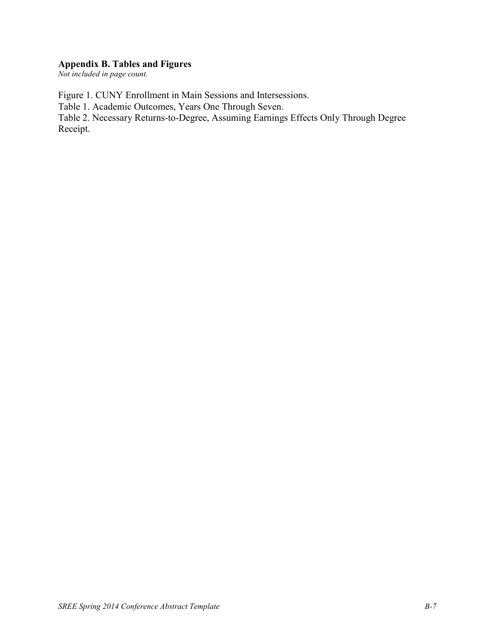# **Appendix B. Tables and Figures**

*Not included in page count.*

Figure 1. CUNY Enrollment in Main Sessions and Intersessions.

Table 1. Academic Outcomes, Years One Through Seven.

Table 2. Necessary Returns-to-Degree, Assuming Earnings Effects Only Through Degree Receipt.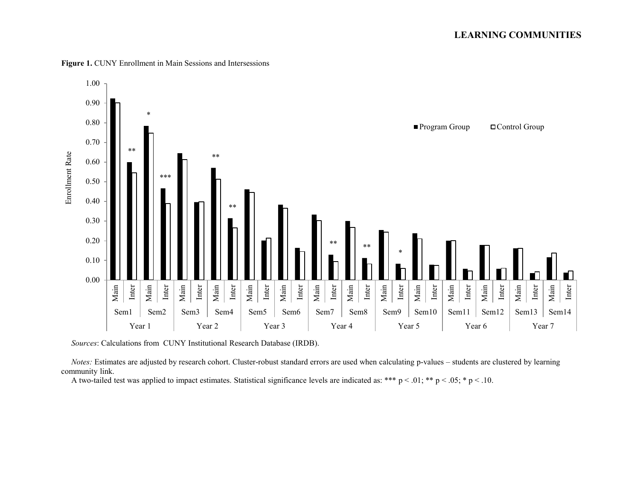

Figure 1. CUNY Enrollment in Main Sessions and Intersessions

*Sources*: Calculations from CUNY Institutional Research Database (IRDB).

*Notes*: Estimates are adjusted by research cohort. Cluster-robust standard errors are used when calculating p-values – students are clustered by learning community link.

A two-tailed test was applied to impact estimates. Statistical significance levels are indicated as: \*\*\*  $p < .01$ ; \*\*  $p < .05$ ; \*  $p < .10$ .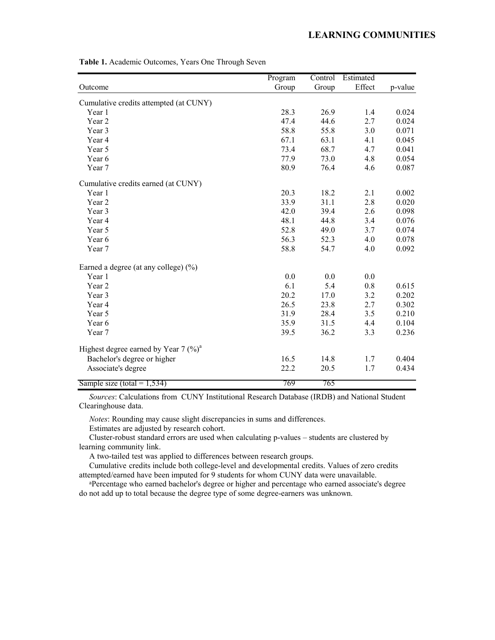|                                          | Program | Control | Estimated |         |
|------------------------------------------|---------|---------|-----------|---------|
| Outcome                                  | Group   | Group   | Effect    | p-value |
| Cumulative credits attempted (at CUNY)   |         |         |           |         |
| Year 1                                   | 28.3    | 26.9    | 1.4       | 0.024   |
| Year 2                                   | 47.4    | 44.6    | 2.7       | 0.024   |
| Year 3                                   | 58.8    | 55.8    | 3.0       | 0.071   |
| Year 4                                   | 67.1    | 63.1    | 4.1       | 0.045   |
| Year 5                                   | 73.4    | 68.7    | 4.7       | 0.041   |
| Year 6                                   | 77.9    | 73.0    | 4.8       | 0.054   |
| Year 7                                   | 80.9    | 76.4    | 4.6       | 0.087   |
| Cumulative credits earned (at CUNY)      |         |         |           |         |
| Year 1                                   | 20.3    | 18.2    | 2.1       | 0.002   |
| Year 2                                   | 33.9    | 31.1    | 2.8       | 0.020   |
| Year 3                                   | 42.0    | 39.4    | 2.6       | 0.098   |
| Year 4                                   | 48.1    | 44.8    | 3.4       | 0.076   |
| Year 5                                   | 52.8    | 49.0    | 3.7       | 0.074   |
| Year 6                                   | 56.3    | 52.3    | 4.0       | 0.078   |
| Year 7                                   | 58.8    | 54.7    | 4.0       | 0.092   |
| Earned a degree (at any college) $(\% )$ |         |         |           |         |
| Year 1                                   | 0.0     | 0.0     | 0.0       |         |
| Year 2                                   | 6.1     | 5.4     | 0.8       | 0.615   |
| Year 3                                   | 20.2    | 17.0    | 3.2       | 0.202   |
| Year 4                                   | 26.5    | 23.8    | 2.7       | 0.302   |
| Year 5                                   | 31.9    | 28.4    | 3.5       | 0.210   |
| Year 6                                   | 35.9    | 31.5    | 4.4       | 0.104   |
| Year 7                                   | 39.5    | 36.2    | 3.3       | 0.236   |
| Highest degree earned by Year 7 $(\%)^a$ |         |         |           |         |
| Bachelor's degree or higher              | 16.5    | 14.8    | 1.7       | 0.404   |
| Associate's degree                       | 22.2    | 20.5    | 1.7       | 0.434   |
| Sample size (total = $1,534$ )           | 769     | 765     |           |         |

**Table 1.** Academic Outcomes, Years One Through Seven

 *Sources*: Calculations from CUNY Institutional Research Database (IRDB) and National Student Clearinghouse data.

*Notes*: Rounding may cause slight discrepancies in sums and differences.

Estimates are adjusted by research cohort.

 Cluster-robust standard errors are used when calculating p-values – students are clustered by learning community link.

A two-tailed test was applied to differences between research groups.

 Cumulative credits include both college-level and developmental credits. Values of zero credits attempted/earned have been imputed for 9 students for whom CUNY data were unavailable.

 a Percentage who earned bachelor's degree or higher and percentage who earned associate's degree do not add up to total because the degree type of some degree-earners was unknown.